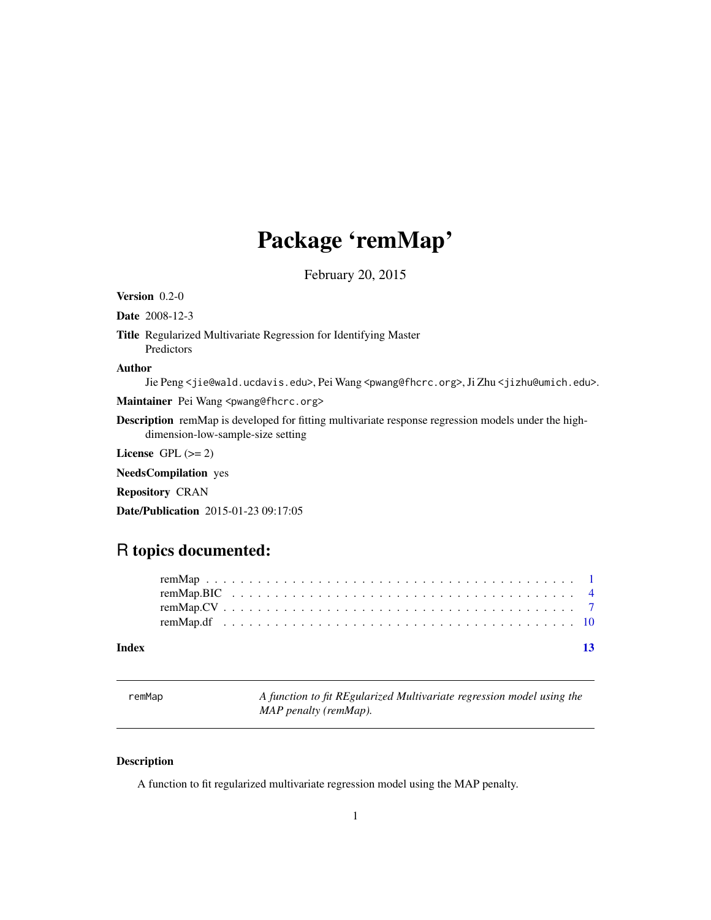## <span id="page-0-0"></span>Package 'remMap'

February 20, 2015

Version 0.2-0

Date 2008-12-3

Title Regularized Multivariate Regression for Identifying Master Predictors

#### Author

Jie Peng <jie@wald.ucdavis.edu>, Pei Wang <pwang@fhcrc.org>, Ji Zhu <jizhu@umich.edu>.

Maintainer Pei Wang <pwang@fhcrc.org>

Description remMap is developed for fitting multivariate response regression models under the highdimension-low-sample-size setting

License GPL  $(>= 2)$ 

NeedsCompilation yes

Repository CRAN

Date/Publication 2015-01-23 09:17:05

### R topics documented:

| Index |  |  |  |  |  |  |  |  |  |  |  |  |  |  |  |  |  |  |  |
|-------|--|--|--|--|--|--|--|--|--|--|--|--|--|--|--|--|--|--|--|
|       |  |  |  |  |  |  |  |  |  |  |  |  |  |  |  |  |  |  |  |
|       |  |  |  |  |  |  |  |  |  |  |  |  |  |  |  |  |  |  |  |
|       |  |  |  |  |  |  |  |  |  |  |  |  |  |  |  |  |  |  |  |
|       |  |  |  |  |  |  |  |  |  |  |  |  |  |  |  |  |  |  |  |

remMap *A function to fit REgularized Multivariate regression model using the MAP penalty (remMap).*

#### Description

A function to fit regularized multivariate regression model using the MAP penalty.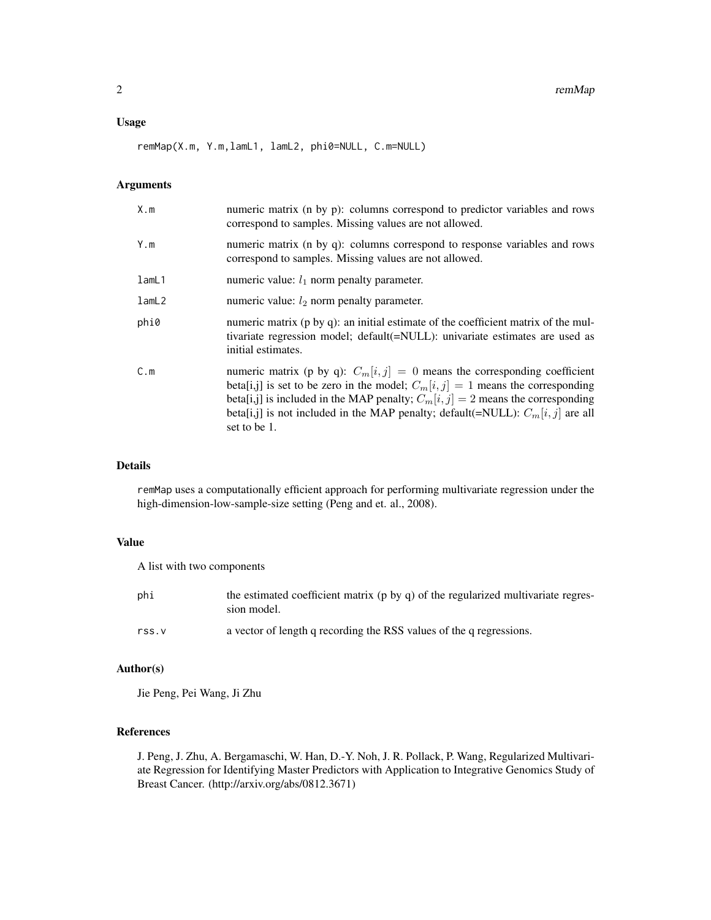#### Usage

remMap(X.m, Y.m,lamL1, lamL2, phi0=NULL, C.m=NULL)

#### Arguments

| X.m   | numeric matrix (n by p): columns correspond to predictor variables and rows<br>correspond to samples. Missing values are not allowed.                                                                                                                                                                                                                       |
|-------|-------------------------------------------------------------------------------------------------------------------------------------------------------------------------------------------------------------------------------------------------------------------------------------------------------------------------------------------------------------|
| Y.m   | numeric matrix (n by q): columns correspond to response variables and rows<br>correspond to samples. Missing values are not allowed.                                                                                                                                                                                                                        |
| lamL1 | numeric value: $l_1$ norm penalty parameter.                                                                                                                                                                                                                                                                                                                |
| lamL2 | numeric value: $l_2$ norm penalty parameter.                                                                                                                                                                                                                                                                                                                |
| phi0  | numeric matrix (p by q): an initial estimate of the coefficient matrix of the mul-<br>tivariate regression model; default(=NULL): univariate estimates are used as<br>initial estimates.                                                                                                                                                                    |
| C.m   | numeric matrix (p by q): $C_m[i, j] = 0$ means the corresponding coefficient<br>beta[i,j] is set to be zero in the model; $C_m[i, j] = 1$ means the corresponding<br>beta[i,j] is included in the MAP penalty; $C_m[i, j] = 2$ means the corresponding<br>beta[i,j] is not included in the MAP penalty; default(=NULL): $C_m[i, j]$ are all<br>set to be 1. |

#### Details

remMap uses a computationally efficient approach for performing multivariate regression under the high-dimension-low-sample-size setting (Peng and et. al., 2008).

#### Value

A list with two components

| phi   | the estimated coefficient matrix (p by q) of the regularized multivariate regres-<br>sion model. |
|-------|--------------------------------------------------------------------------------------------------|
| rss.v | a vector of length q recording the RSS values of the q regressions.                              |

#### Author(s)

Jie Peng, Pei Wang, Ji Zhu

#### References

J. Peng, J. Zhu, A. Bergamaschi, W. Han, D.-Y. Noh, J. R. Pollack, P. Wang, Regularized Multivariate Regression for Identifying Master Predictors with Application to Integrative Genomics Study of Breast Cancer. (http://arxiv.org/abs/0812.3671)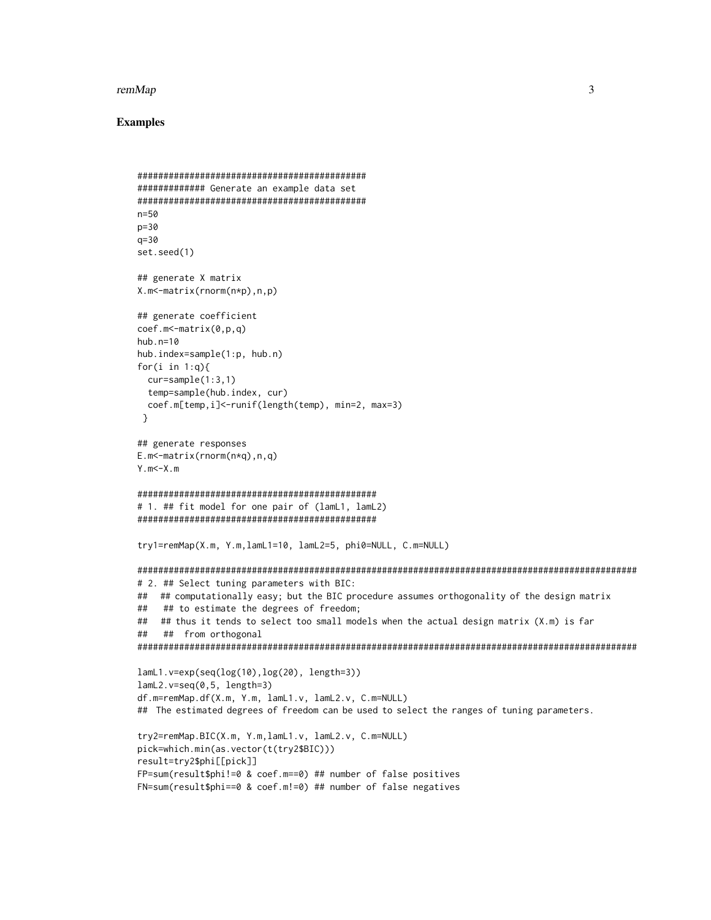#### remMap

```
############## Generate an example data set
n = 50p = 30a = 30set.seed(1)
## generate X matrix
X.m<-matrix(rnorm(n*p),n,p)
## generate coefficient
coef.m < -matrix(0,p,q)hub.n=10hub.index=sample(1:p, hub.n)
for(i in 1:q){
 cur=sample(1:3,1)temp=sample(hub.index, cur)
 coef.m[temp,i]<-runif(length(temp), min=2, max=3)
\mathcal{L}## generate responses
E.m<-matrix(rnorm(n \star q), n, q)
Y.m < -X.m# 1. ## fit model for one pair of (lamL1, lamL2)
try1=remMap(X.m, Y.m, lamL1=10, lamL2=5, phi0=NULL, C.m=NULL)
# 2. ## Select tuning parameters with BIC:
## ## computationally easy; but the BIC procedure assumes orthogonality of the design matrix
## ## to estimate the degrees of freedom;
## ## thus it tends to select too small models when the actual design matrix (X.m) is far
#### from orthogonal
lamL1.v=exp(seq(log(10),log(20), length=3))
lamL2.v=seq(0,5, length=3)df.m=remMap.df(X.m, Y.m, lamL1.v, lamL2.v, C.m=NULL)
## The estimated degrees of freedom can be used to select the ranges of tuning parameters.
try2=remMap.BIC(X.m, Y.m,lamL1.v, lamL2.v, C.m=NULL)
pick=which.min(as.vector(t(try2$BIC)))
result=try2$phi[[pick]]
FP=sum(result$phi!=0 & coef.m==0) ## number of false positives
FN=sum(result$phi==0 & coef.m!=0) ## number of false negatives
```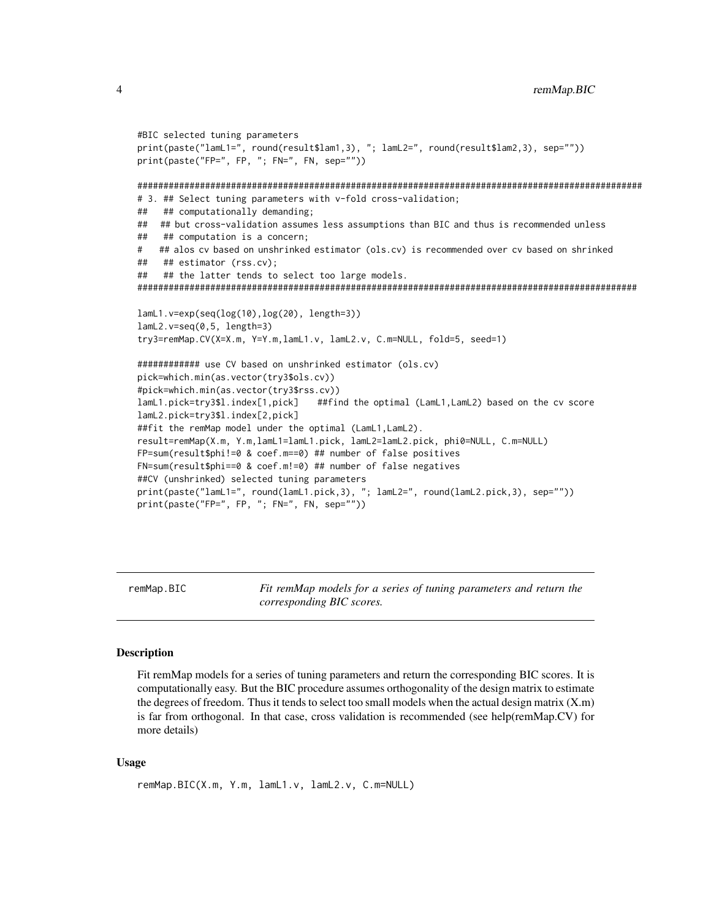```
#BIC selected tuning parameters
print(paste("lamL1=", round(result$lam1,3), "; lamL2=", round(result$lam2,3), sep=""))
print(paste("FP=", FP, "; FN=", FN, sep=""))
# 3. ## Select tuning parameters with v-fold cross-validation;
## ## computationally demanding;
## ## but cross-validation assumes less assumptions than BIC and thus is recommended unless
## ## computation is a concern;
   ## alos cv based on unshrinked estimator (ols.cv) is recommended over cv based on shrinked
###
   ## estimator (rss.cv);
   ## the latter tends to select too large models.
##
lamL1.v=exp(seq(log(10), log(20), length=3))lamL2.v=seq(0,5, length=3)try3=remMap.CV(X=X.m, Y=Y.m,lamL1.v, lamL2.v, C.m=NULL, fold=5, seed=1)
############ use CV based on unshrinked estimator (ols.cv)
pick=which.min(as.vector(try3$ols.cv))
#pick=which.min(as.vector(try3$rss.cv))
                              ##find the optimal (LamL1, LamL2) based on the cv score
lamL1.pick=try3$l.index[1,pick]
lamL2.pick=try3$l.index[2,pick]
##fit the remMap model under the optimal (LamL1, LamL2).
result=remMap(X.m, Y.m,lamL1=lamL1.pick, lamL2=lamL2.pick, phi0=NULL, C.m=NULL)
FP=sum(result$phi!=0 & coef.m==0) ## number of false positives
FN=sum(result$phi==0 & coef.m!=0) ## number of false negatives
##CV (unshrinked) selected tuning parameters
print(paste("lamL1=", round(lamL1.pick,3), "; lamL2=", round(lamL2.pick,3), sep=""))
print(paste("FP=", FP, "; FN=", FN, sep=""))
```
remMap.BIC

Fit remMap models for a series of tuning parameters and return the corresponding BIC scores.

#### **Description**

Fit remMap models for a series of tuning parameters and return the corresponding BIC scores. It is computationally easy. But the BIC procedure assumes orthogonality of the design matrix to estimate the degrees of freedom. Thus it tends to select too small models when the actual design matrix  $(X.m)$ is far from orthogonal. In that case, cross validation is recommended (see help(remMap.CV) for more details)

#### **Usage**

```
remMap.BIC(X.m, Y.m, lamL1.v, lamL2.v, C.m=NULL)
```
<span id="page-3-0"></span> $\overline{4}$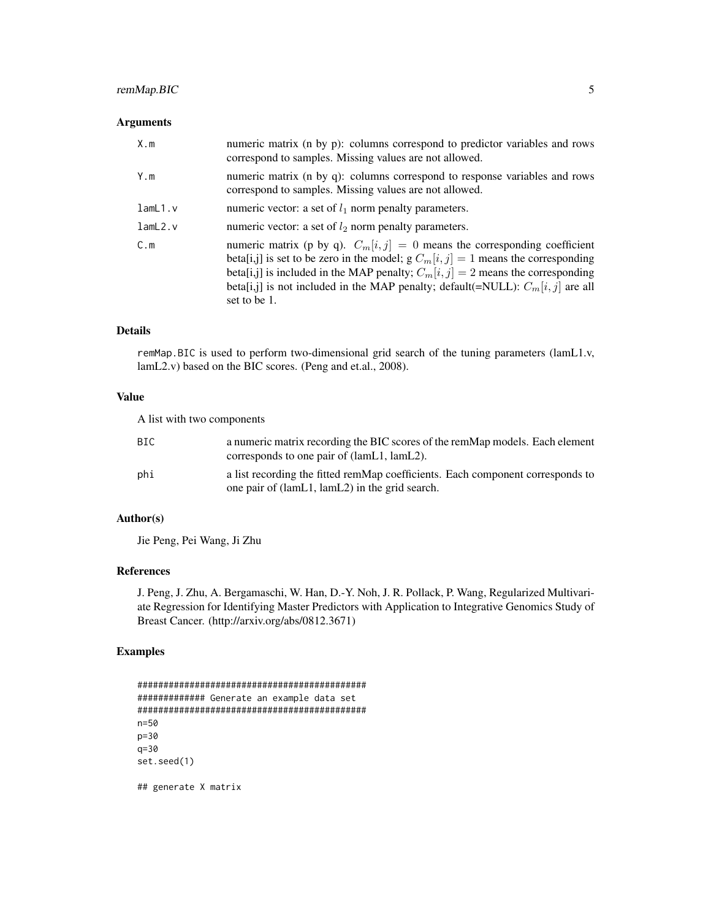#### remMap.BIC 5

#### Arguments

| X.m     | numeric matrix (n by p): columns correspond to predictor variables and rows<br>correspond to samples. Missing values are not allowed.                                                                                                                                                                                                                         |
|---------|---------------------------------------------------------------------------------------------------------------------------------------------------------------------------------------------------------------------------------------------------------------------------------------------------------------------------------------------------------------|
| Y.m     | numeric matrix (n by q): columns correspond to response variables and rows<br>correspond to samples. Missing values are not allowed.                                                                                                                                                                                                                          |
| lamL1.v | numeric vector: a set of $l_1$ norm penalty parameters.                                                                                                                                                                                                                                                                                                       |
| lamb2.v | numeric vector: a set of $l_2$ norm penalty parameters.                                                                                                                                                                                                                                                                                                       |
| C.m     | numeric matrix (p by q). $C_m[i, j] = 0$ means the corresponding coefficient<br>beta[i,j] is set to be zero in the model; $g C_m[i, j] = 1$ means the corresponding<br>beta[i,j] is included in the MAP penalty; $C_m[i, j] = 2$ means the corresponding<br>beta[i,j] is not included in the MAP penalty; default(=NULL): $C_m[i, j]$ are all<br>set to be 1. |

#### Details

remMap.BIC is used to perform two-dimensional grid search of the tuning parameters (lamL1.v, lamL2.v) based on the BIC scores. (Peng and et.al., 2008).

#### Value

A list with two components

| BIC. | a numeric matrix recording the BIC scores of the remMap models. Each element<br>corresponds to one pair of (lamL1, lamL2).       |
|------|----------------------------------------------------------------------------------------------------------------------------------|
| phi  | a list recording the fitted remMap coefficients. Each component corresponds to<br>one pair of (lamL1, lamL2) in the grid search. |

#### Author(s)

Jie Peng, Pei Wang, Ji Zhu

#### References

J. Peng, J. Zhu, A. Bergamaschi, W. Han, D.-Y. Noh, J. R. Pollack, P. Wang, Regularized Multivariate Regression for Identifying Master Predictors with Application to Integrative Genomics Study of Breast Cancer. (http://arxiv.org/abs/0812.3671)

```
############################################
############# Generate an example data set
############################################
n=50
p=30
q=30
set.seed(1)
## generate X matrix
```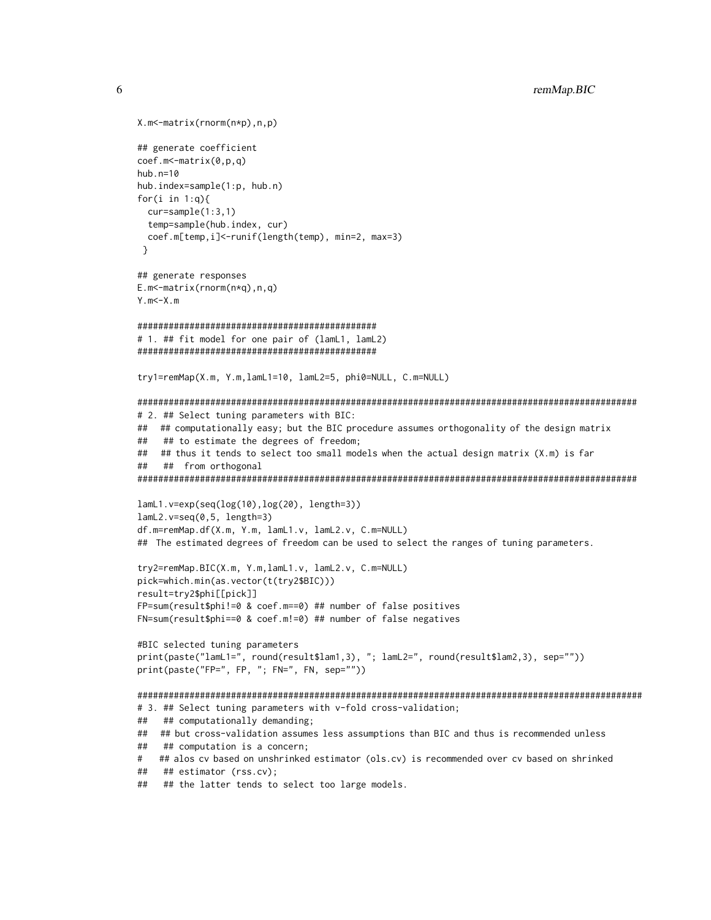```
X.m<-matrix(rnorm(n*p),n,p)
## generate coefficient
coef.m < -matrix(0,p,q)hub. n=10hub.index=sample(1:p, hub.n)
for(i in 1:q){
 cur=sample(1:3,1)temp=sample(hub.index, cur)
 coef.m[temp,i]<-runif(length(temp), min=2, max=3)
\mathcal{F}## generate responses
E.m<-matrix(rnorm(n \star q), n, q)
Y.m < -X.m# 1. ## fit model for one pair of (lamL1, lamL2)
try1=remMap(X.m, Y.m,lamL1=10, lamL2=5, phi0=NULL, C.m=NULL)
# 2. ## Select tuning parameters with BIC:
## ## computationally easy; but the BIC procedure assumes orthogonality of the design matrix
   ## to estimate the degrees of freedom;
##
## ## thus it tends to select too small models when the actual design matrix (X.m) is far
#### from orthogonal
lamL1.v=exp(seq(log(10),log(20), length=3))
lamL2.v=seq(0,5, length=3)df.m=remMap.df(X.m, Y.m, lamL1.v, lamL2.v, C.m=NULL)
## The estimated degrees of freedom can be used to select the ranges of tuning parameters.
try2=remMap.BIC(X.m, Y.m,lamL1.v, lamL2.v, C.m=NULL)
pick=which.min(as.vector(t(try2$BIC)))
result=try2$phi[[pick]]
FP=sum(result$phi!=0 & coef.m==0) ## number of false positives
FN=sum(result$phi==0 & coef.m!=0) ## number of false negatives
#BIC selected tuning parameters
print(paste("lamL1=", round(result$lam1,3), "; lamL2=", round(result$lam2,3), sep=""))
print(paste("FP=", FP, "; FN=", FN, sep=""))
# 3. ## Select tuning parameters with v-fold cross-validation;
## ## computationally demanding;
## ## but cross-validation assumes less assumptions than BIC and thus is recommended unless
## ## computation is a concern;
  ## alos cv based on unshrinked estimator (ols.cv) is recommended over cv based on shrinked
### ## estimator (rss.cv);
## ## the latter tends to select too large models.
```
6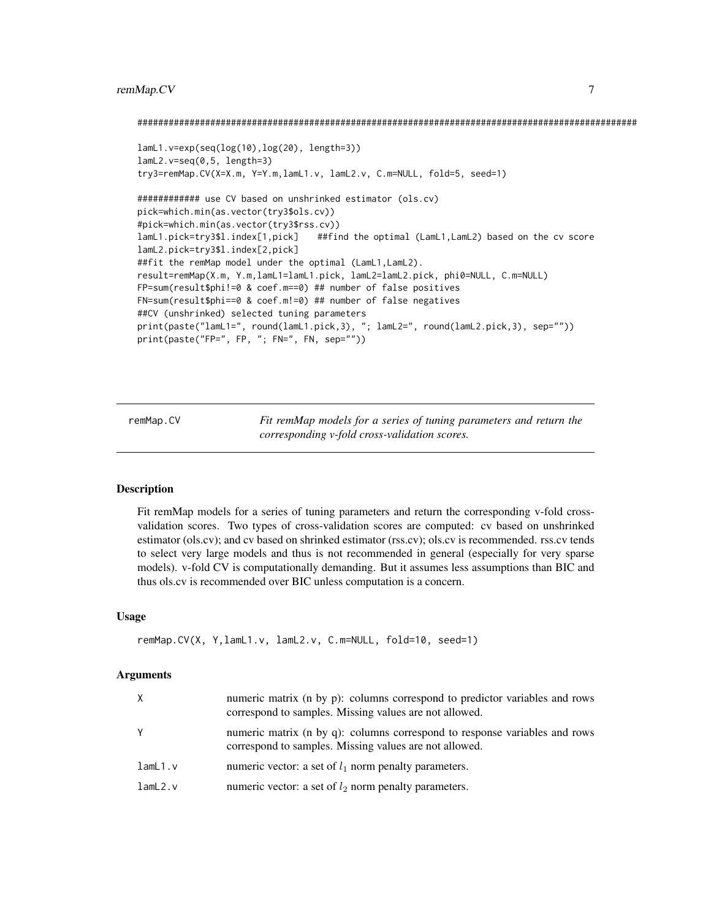#### <span id="page-6-0"></span>remMap.CV 7

```
################################################################################################
lamL1.v=exp(seq(log(10),log(20), length=3))
lamL2.v=seq(0,5, length=3)
try3=remMap.CV(X=X.m, Y=Y.m,lamL1.v, lamL2.v, C.m=NULL, fold=5, seed=1)
############ use CV based on unshrinked estimator (ols.cv)
pick=which.min(as.vector(try3$ols.cv))
#pick=which.min(as.vector(try3$rss.cv))
lamL1.pick=try3$l.index[1,pick] ##find the optimal (LamL1,LamL2) based on the cv score
lamL2.pick=try3$l.index[2,pick]
##fit the remMap model under the optimal (LamL1,LamL2).
result=remMap(X.m, Y.m,lamL1=lamL1.pick, lamL2=lamL2.pick, phi0=NULL, C.m=NULL)
FP=sum(result$phi!=0 & coef.m==0) ## number of false positives
FN=sum(result$phi==0 & coef.m!=0) ## number of false negatives
##CV (unshrinked) selected tuning parameters
print(paste("lamL1=", round(lamL1.pick,3), "; lamL2=", round(lamL2.pick,3), sep=""))
print(paste("FP=", FP, "; FN=", FN, sep=""))
```
remMap.CV *Fit remMap models for a series of tuning parameters and return the corresponding v-fold cross-validation scores.*

#### Description

Fit remMap models for a series of tuning parameters and return the corresponding v-fold crossvalidation scores. Two types of cross-validation scores are computed: cv based on unshrinked estimator (ols.cv); and cv based on shrinked estimator (rss.cv); ols.cv is recommended. rss.cv tends to select very large models and thus is not recommended in general (especially for very sparse models). v-fold CV is computationally demanding. But it assumes less assumptions than BIC and thus ols.cv is recommended over BIC unless computation is a concern.

#### Usage

```
remMap.CV(X, Y,lamL1.v, lamL2.v, C.m=NULL, fold=10, seed=1)
```
#### Arguments

| X       | numeric matrix (n by p): columns correspond to predictor variables and rows<br>correspond to samples. Missing values are not allowed. |
|---------|---------------------------------------------------------------------------------------------------------------------------------------|
| Y       | numeric matrix (n by q): columns correspond to response variables and rows<br>correspond to samples. Missing values are not allowed.  |
| lamL1.v | numeric vector: a set of $l_1$ norm penalty parameters.                                                                               |
| lamL2.v | numeric vector: a set of $l_2$ norm penalty parameters.                                                                               |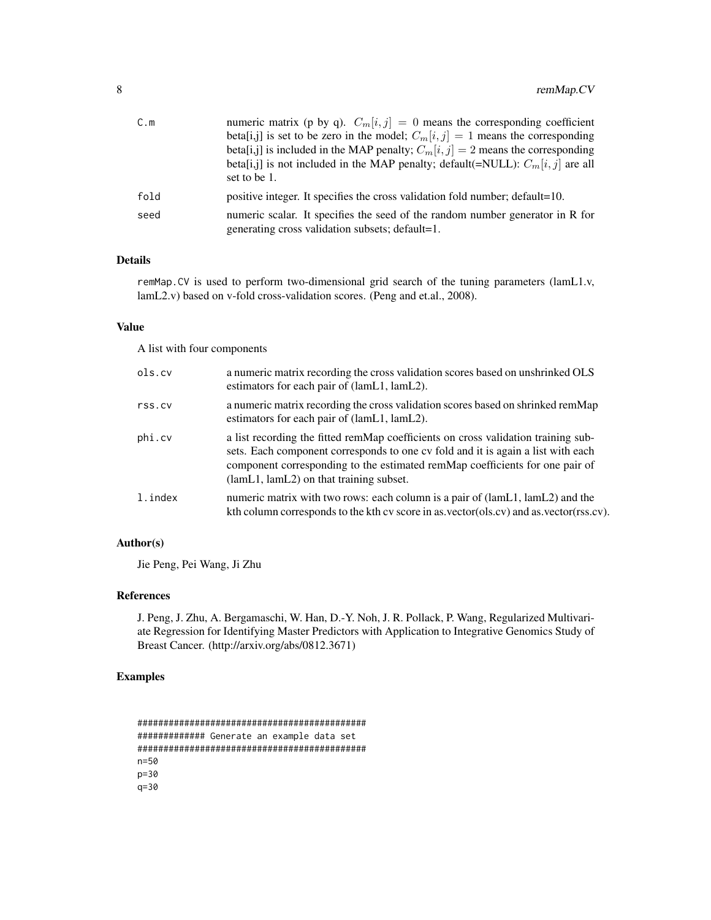| C.m  | numeric matrix (p by q). $C_m[i, j] = 0$ means the corresponding coefficient                                                     |
|------|----------------------------------------------------------------------------------------------------------------------------------|
|      | beta[i,j] is set to be zero in the model; $C_m[i, j] = 1$ means the corresponding                                                |
|      | beta[i,j] is included in the MAP penalty; $C_m[i, j] = 2$ means the corresponding                                                |
|      | beta[i,j] is not included in the MAP penalty; default(=NULL): $C_m[i, j]$ are all                                                |
|      | set to be 1.                                                                                                                     |
| fold | positive integer. It specifies the cross validation fold number; default=10.                                                     |
| seed | numeric scalar. It specifies the seed of the random number generator in R for<br>generating cross validation subsets; default=1. |

#### Details

remMap.CV is used to perform two-dimensional grid search of the tuning parameters (lamL1.v, lamL2.v) based on v-fold cross-validation scores. (Peng and et.al., 2008).

#### Value

A list with four components

| ols.cv  | a numeric matrix recording the cross validation scores based on unshrinked OLS<br>estimators for each pair of (lamL1, lamL2).                                                                                                                                                                    |
|---------|--------------------------------------------------------------------------------------------------------------------------------------------------------------------------------------------------------------------------------------------------------------------------------------------------|
| rss.cv  | a numeric matrix recording the cross validation scores based on shrinked remMap<br>estimators for each pair of (lamL1, lamL2).                                                                                                                                                                   |
| phi.cv  | a list recording the fitted remMap coefficients on cross validation training sub-<br>sets. Each component corresponds to one cv fold and it is again a list with each<br>component corresponding to the estimated remMap coefficients for one pair of<br>(lamL1, lamL2) on that training subset. |
| l.index | numeric matrix with two rows: each column is a pair of (lamL1, lamL2) and the<br>kth column corresponds to the kth cv score in as vector(ols.cv) and as vector(rss.cv).                                                                                                                          |

#### Author(s)

Jie Peng, Pei Wang, Ji Zhu

#### References

J. Peng, J. Zhu, A. Bergamaschi, W. Han, D.-Y. Noh, J. R. Pollack, P. Wang, Regularized Multivariate Regression for Identifying Master Predictors with Application to Integrative Genomics Study of Breast Cancer. (http://arxiv.org/abs/0812.3671)

```
############################################
############# Generate an example data set
############################################
n=50
p=30
q=30
```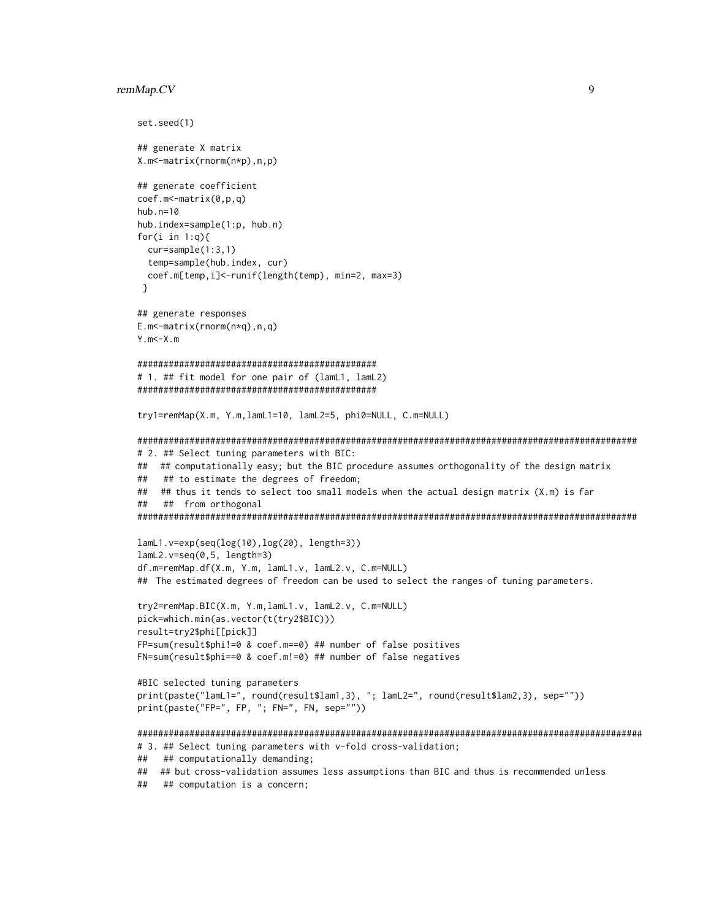#### remMap.CV

```
set.seed(1)
## generate X matrix
X.m<-matrix(rnorm(n*p),n,p)
## generate coefficient
coef.m<-matrix(0,p,q)hub.n=10hub.index=sample(1:p, hub.n)for(i in 1:q){
 cur=sample(1:3,1)temp=sample(hub.index, cur)
 coef.m[temp,i]<-runif(length(temp), min=2, max=3)
\lambda## generate responses
E.m<-matrix(rnorm(n \star q), n, q)
Y.m < -X.m# 1. ## fit model for one pair of (lamL1, lamL2)
try1=remMap(X.m, Y.m,lamL1=10, lamL2=5, phi0=NULL, C.m=NULL)
# 2. ## Select tuning parameters with BIC:
## ## computationally easy; but the BIC procedure assumes orthogonality of the design matrix
##
   ## to estimate the degrees of freedom;
## ## thus it tends to select too small models when the actual design matrix (X.m) is far
## ## from orthogonal
lamL1.v=exp(seq(log(10),log(20), length=3))
lamL2.v=seq(0,5, length=3)df.m=remMap.df(X.m, Y.m, lamL1.v, lamL2.v, C.m=NULL)
## The estimated degrees of freedom can be used to select the ranges of tuning parameters.
try2=remMap.BIC(X.m, Y.m,lamL1.v, lamL2.v, C.m=NULL)
pick=which.min(as.vector(t(try2$BIC)))
result=try2$phi[[pick]]
FP=sum(result$phi!=0 & coef.m==0) ## number of false positives
FN=sum(result$phi==0 & coef.m!=0) ## number of false negatives
#BIC selected tuning parameters
print(paste("lamL1=", round(result$lam1,3), "; lamL2=", round(result$lam2,3), sep=""))
print(paste("FP=", FP, "; FN=", FN, sep=""))
# 3. ## Select tuning parameters with v-fold cross-validation;
## ## computationally demanding;
## ## but cross-validation assumes less assumptions than BIC and thus is recommended unless
```
## ## computation is a concern;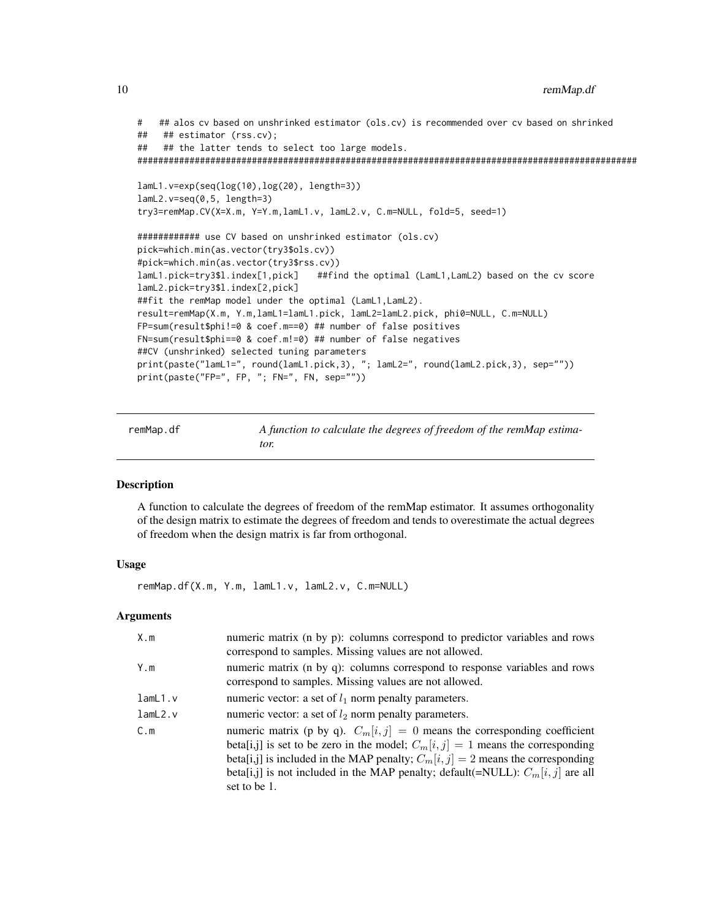```
# ## alos cv based on unshrinked estimator (ols.cv) is recommended over cv based on shrinked
## ## estimator (rss.cv);
## ## the latter tends to select too large models.
################################################################################################
lamL1.v=exp(seq(log(10),log(20), length=3))
lamL2.v=seq(0,5, length=3)
try3=remMap.CV(X=X.m, Y=Y.m,lamL1.v, lamL2.v, C.m=NULL, fold=5, seed=1)
############ use CV based on unshrinked estimator (ols.cv)
pick=which.min(as.vector(try3$ols.cv))
#pick=which.min(as.vector(try3$rss.cv))
lamL1.pick=try3$l.index[1,pick] ##find the optimal (LamL1,LamL2) based on the cv score
lamL2.pick=try3$l.index[2,pick]
##fit the remMap model under the optimal (LamL1,LamL2).
result=remMap(X.m, Y.m,lamL1=lamL1.pick, lamL2=lamL2.pick, phi0=NULL, C.m=NULL)
FP=sum(result$phi!=0 & coef.m==0) ## number of false positives
FN=sum(result$phi==0 & coef.m!=0) ## number of false negatives
##CV (unshrinked) selected tuning parameters
print(paste("lamL1=", round(lamL1.pick,3), "; lamL2=", round(lamL2.pick,3), sep=""))
print(paste("FP=", FP, "; FN=", FN, sep=""))
```
remMap.df *A function to calculate the degrees of freedom of the remMap estimator.*

#### **Description**

A function to calculate the degrees of freedom of the remMap estimator. It assumes orthogonality of the design matrix to estimate the degrees of freedom and tends to overestimate the actual degrees of freedom when the design matrix is far from orthogonal.

#### Usage

remMap.df(X.m, Y.m, lamL1.v, lamL2.v, C.m=NULL)

#### Arguments

| X.m     | numeric matrix (n by p): columns correspond to predictor variables and rows<br>correspond to samples. Missing values are not allowed.                                                                                                                                                                                                                       |
|---------|-------------------------------------------------------------------------------------------------------------------------------------------------------------------------------------------------------------------------------------------------------------------------------------------------------------------------------------------------------------|
| Y.m     | numeric matrix (n by q): columns correspond to response variables and rows<br>correspond to samples. Missing values are not allowed.                                                                                                                                                                                                                        |
| lamL1.v | numeric vector: a set of $l_1$ norm penalty parameters.                                                                                                                                                                                                                                                                                                     |
| lamL2.v | numeric vector: a set of $l_2$ norm penalty parameters.                                                                                                                                                                                                                                                                                                     |
| C.m     | numeric matrix (p by q). $C_m[i, j] = 0$ means the corresponding coefficient<br>beta[i,j] is set to be zero in the model; $C_m[i, j] = 1$ means the corresponding<br>beta[i,j] is included in the MAP penalty; $C_m[i, j] = 2$ means the corresponding<br>beta[i,j] is not included in the MAP penalty; default(=NULL): $C_m[i, j]$ are all<br>set to be 1. |

<span id="page-9-0"></span>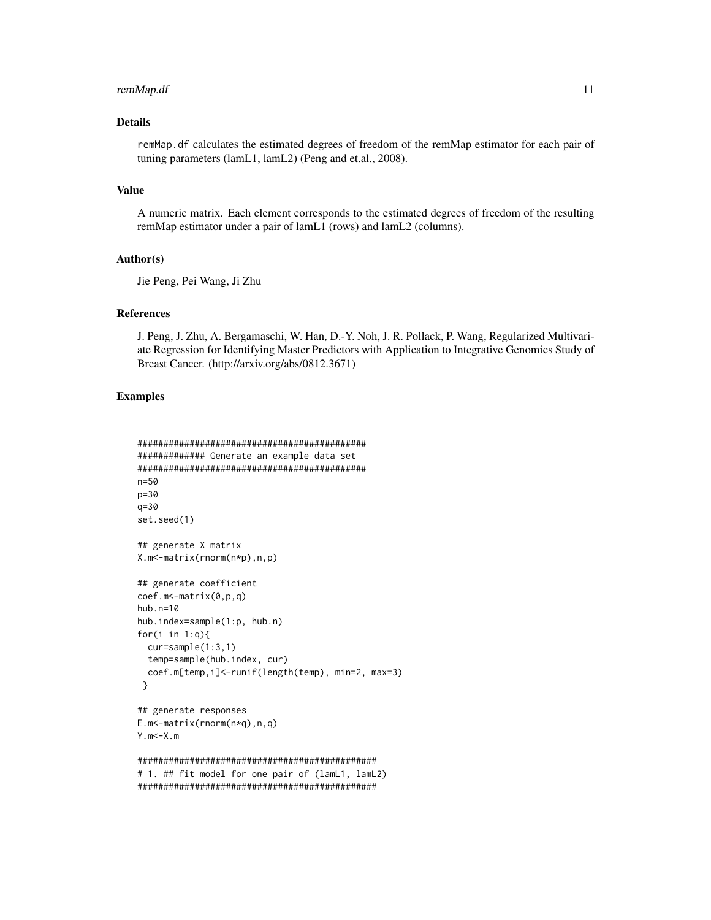#### remMap.df 11

#### Details

remMap.df calculates the estimated degrees of freedom of the remMap estimator for each pair of tuning parameters (lamL1, lamL2) (Peng and et.al., 2008).

#### Value

A numeric matrix. Each element corresponds to the estimated degrees of freedom of the resulting remMap estimator under a pair of lamL1 (rows) and lamL2 (columns).

#### Author(s)

Jie Peng, Pei Wang, Ji Zhu

#### References

J. Peng, J. Zhu, A. Bergamaschi, W. Han, D.-Y. Noh, J. R. Pollack, P. Wang, Regularized Multivariate Regression for Identifying Master Predictors with Application to Integrative Genomics Study of Breast Cancer. (http://arxiv.org/abs/0812.3671)

```
############################################
############# Generate an example data set
############################################
n=50
p=30
q=30
set.seed(1)
## generate X matrix
X.m<-matrix(rnorm(n*p),n,p)
## generate coefficient
coef.m<-matrix(0,p,q)
hub.n=10
hub.index=sample(1:p, hub.n)
for(i in 1:q){
  cur=sample(1:3,1)
  temp=sample(hub.index, cur)
  coef.m[temp,i]<-runif(length(temp), min=2, max=3)
 }
## generate responses
E.m<-matrix(rnorm(n*q),n,q)
Y.m < -X.m##############################################
# 1. ## fit model for one pair of (lamL1, lamL2)
##############################################
```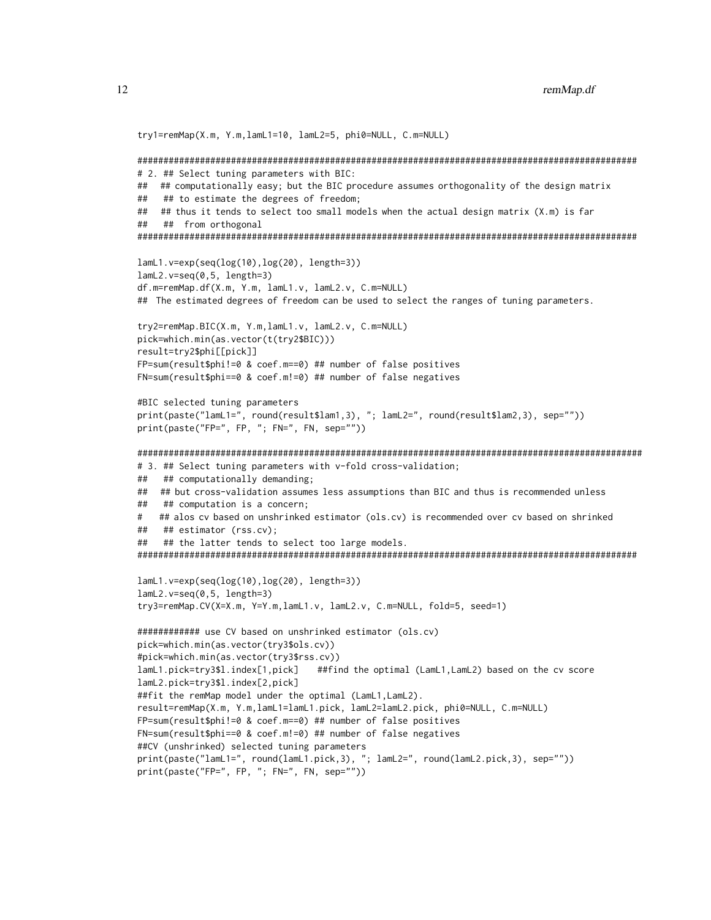```
try1=remMap(X.m, Y.m,lamL1=10, lamL2=5, phi0=NULL, C.m=NULL)
# 2. ## Select tuning parameters with BIC:
## ## computationally easy; but the BIC procedure assumes orthogonality of the design matrix
## ## to estimate the degrees of freedom;
## ## thus it tends to select too small models when the actual design matrix (X.m) is far
## ## from orthogonal
lamL1.v=exp(seq(log(10), log(20), length=3))lamL2.v=seq(0,5, length=3)df.m=remMap.df(X.m, Y.m, lamL1.v, lamL2.v, C.m=NULL)
## The estimated degrees of freedom can be used to select the ranges of tuning parameters.
try2=remMap.BIC(X.m, Y.m,lamL1.v, lamL2.v, C.m=NULL)
pick=which.min(as.vector(t(try2$BIC)))
result=try2$phi[[pick]]
FP=sum(result$phi!=0 & coef.m==0) ## number of false positives
FN=sum(result$phi==0 & coef.m!=0) ## number of false negatives
#BIC selected tuning parameters
print(paste("lamL1=", round(result$lam1,3), "; lamL2=", round(result$lam2,3), sep=""))
print(paste("FP=", FP, "; FN=", FN, sep=""))
# 3. ## Select tuning parameters with v-fold cross-validation;
## ## computationally demanding;
## ## but cross-validation assumes less assumptions than BIC and thus is recommended unless
## ## computation is a concern;
# ## alos cv based on unshrinked estimator (ols.cv) is recommended over cv based on shrinked
## ## estimator (rss.cv);
## ## the latter tends to select too large models.
lamL1.v=exp(seq(log(10), log(20), length=3))lamL2.v=seq(0,5, length=3)try3=remMap.CV(X=X.m, Y=Y.m,lamL1.v, lamL2.v, C.m=NULL, fold=5, seed=1)
############# use CV based on unshrinked estimator (ols.cv)
pick=which.min(as.vector(try3$ols.cv))
#pick=which.min(as.vector(try3$rss.cv))
lamL1.pick=try3$l.index[1,pick] ##find the optimal (LamL1,LamL2) based on the cv score
lamL2.pick=try3$l.index[2,pick]
##fit the remMap model under the optimal (LamL1, LamL2).
result=remMap(X.m, Y.m, lamL1=lamL1.pick, lamL2=lamL2.pick, phi0=NULL, C.m=NULL)
FP=sum(result$phi!=0 & coef.m==0) ## number of false positives
FN = sum(result$phi == 0 & coeff.m != 0) # # number of false negatives##CV (unshrinked) selected tuning parameters
print(paste("lamL1=", round(lamL1.pick,3), "; lamL2=", round(lamL2.pick,3), sep=""))
print(paste("FP=", FP, "; FN=", FN, sep=""))
```
12